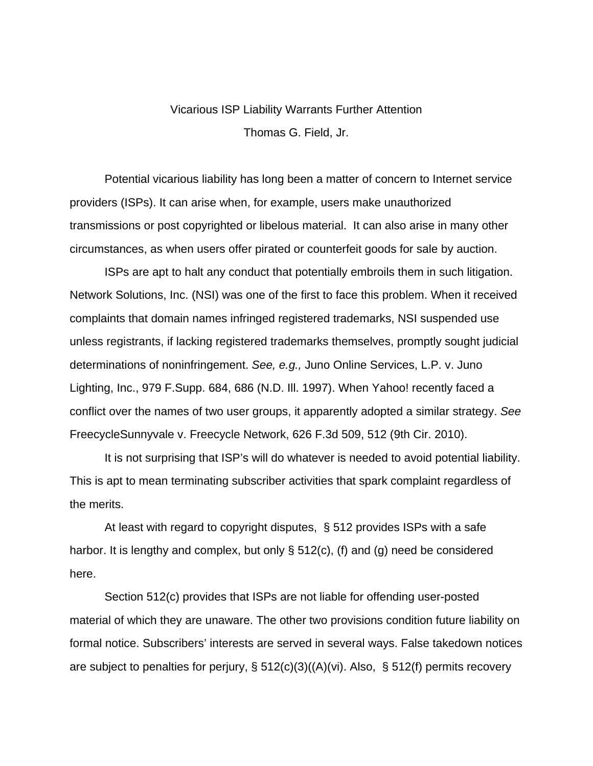## Vicarious ISP Liability Warrants Further Attention Thomas G. Field, Jr.

 Potential vicarious liability has long been a matter of concern to Internet service providers (ISPs). It can arise when, for example, users make unauthorized transmissions or post copyrighted or libelous material. It can also arise in many other circumstances, as when users offer pirated or counterfeit goods for sale by auction.

 ISPs are apt to halt any conduct that potentially embroils them in such litigation. Network Solutions, Inc. (NSI) was one of the first to face this problem. When it received complaints that domain names infringed registered trademarks, NSI suspended use unless registrants, if lacking registered trademarks themselves, promptly sought judicial determinations of noninfringement. *See, e.g.,* Juno Online Services, L.P. v. Juno Lighting, Inc., 979 F.Supp. 684, 686 (N.D. Ill. 1997). When Yahoo! recently faced a conflict over the names of two user groups, it apparently adopted a similar strategy. *See* FreecycleSunnyvale v. Freecycle Network, 626 F.3d 509, 512 (9th Cir. 2010).

 It is not surprising that ISP's will do whatever is needed to avoid potential liability. This is apt to mean terminating subscriber activities that spark complaint regardless of the merits.

 At least with regard to copyright disputes, § 512 provides ISPs with a safe harbor. It is lengthy and complex, but only § 512(c), (f) and (g) need be considered here.

 Section 512(c) provides that ISPs are not liable for offending user-posted material of which they are unaware. The other two provisions condition future liability on formal notice. Subscribers' interests are served in several ways. False takedown notices are subject to penalties for perjury, § 512(c)(3)((A)(vi). Also, § 512(f) permits recovery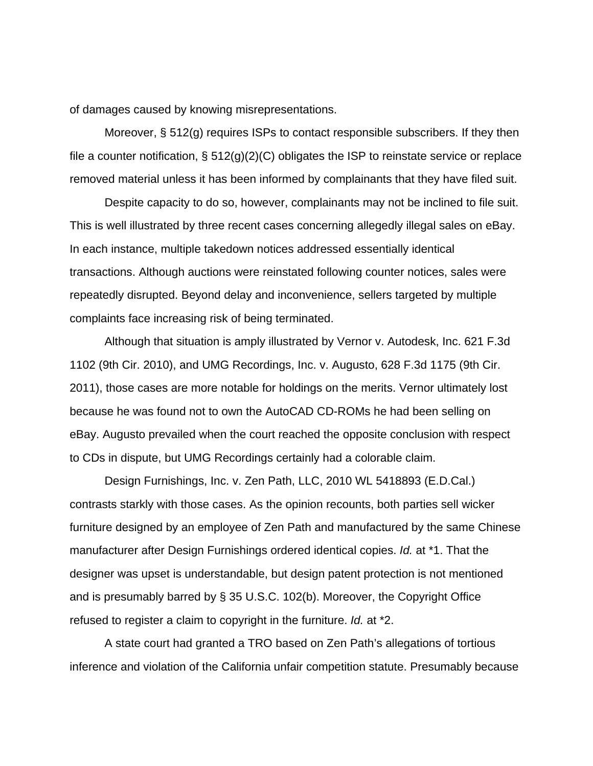of damages caused by knowing misrepresentations.

 Moreover, § 512(g) requires ISPs to contact responsible subscribers. If they then file a counter notification,  $\S 512(g)(2)(C)$  obligates the ISP to reinstate service or replace removed material unless it has been informed by complainants that they have filed suit.

 Despite capacity to do so, however, complainants may not be inclined to file suit. This is well illustrated by three recent cases concerning allegedly illegal sales on eBay. In each instance, multiple takedown notices addressed essentially identical transactions. Although auctions were reinstated following counter notices, sales were repeatedly disrupted. Beyond delay and inconvenience, sellers targeted by multiple complaints face increasing risk of being terminated.

 Although that situation is amply illustrated by Vernor v. Autodesk, Inc. 621 F.3d 1102 (9th Cir. 2010), and UMG Recordings, Inc. v. Augusto, 628 F.3d 1175 (9th Cir. 2011), those cases are more notable for holdings on the merits. Vernor ultimately lost because he was found not to own the AutoCAD CD-ROMs he had been selling on eBay. Augusto prevailed when the court reached the opposite conclusion with respect to CDs in dispute, but UMG Recordings certainly had a colorable claim.

 Design Furnishings, Inc. v. Zen Path, LLC, 2010 WL 5418893 (E.D.Cal.) contrasts starkly with those cases. As the opinion recounts, both parties sell wicker furniture designed by an employee of Zen Path and manufactured by the same Chinese manufacturer after Design Furnishings ordered identical copies. *Id.* at \*1. That the designer was upset is understandable, but design patent protection is not mentioned and is presumably barred by § 35 U.S.C. 102(b). Moreover, the Copyright Office refused to register a claim to copyright in the furniture. *Id.* at \*2.

 A state court had granted a TRO based on Zen Path's allegations of tortious inference and violation of the California unfair competition statute. Presumably because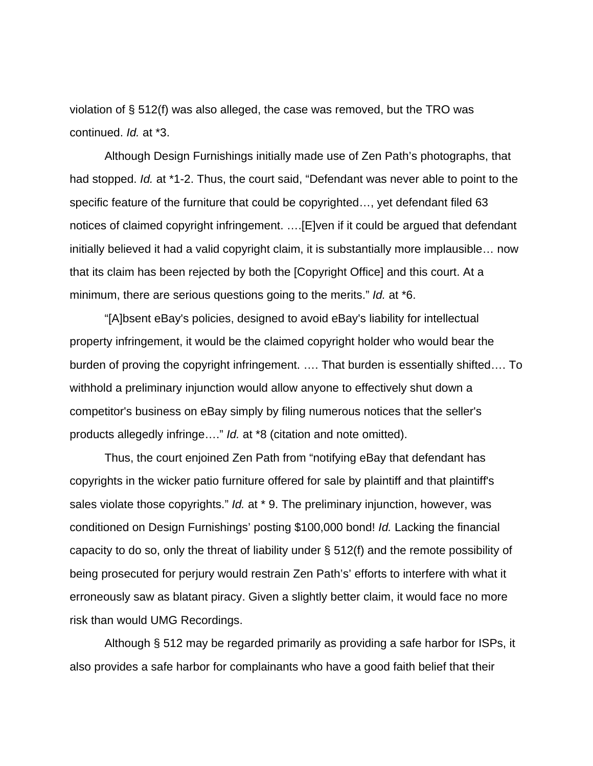violation of § 512(f) was also alleged, the case was removed, but the TRO was continued. *Id.* at \*3.

 Although Design Furnishings initially made use of Zen Path's photographs, that had stopped. *Id.* at \*1-2. Thus, the court said, "Defendant was never able to point to the specific feature of the furniture that could be copyrighted…, yet defendant filed 63 notices of claimed copyright infringement. ….[E]ven if it could be argued that defendant initially believed it had a valid copyright claim, it is substantially more implausible… now that its claim has been rejected by both the [Copyright Office] and this court. At a minimum, there are serious questions going to the merits." *Id.* at \*6.

 "[A]bsent eBay's policies, designed to avoid eBay's liability for intellectual property infringement, it would be the claimed copyright holder who would bear the burden of proving the copyright infringement. …. That burden is essentially shifted…. To withhold a preliminary injunction would allow anyone to effectively shut down a competitor's business on eBay simply by filing numerous notices that the seller's products allegedly infringe…." *Id.* at \*8 (citation and note omitted).

 Thus, the court enjoined Zen Path from "notifying eBay that defendant has copyrights in the wicker patio furniture offered for sale by plaintiff and that plaintiff's sales violate those copyrights." *Id.* at \* 9. The preliminary injunction, however, was conditioned on Design Furnishings' posting \$100,000 bond! *Id.* Lacking the financial capacity to do so, only the threat of liability under § 512(f) and the remote possibility of being prosecuted for perjury would restrain Zen Path's' efforts to interfere with what it erroneously saw as blatant piracy. Given a slightly better claim, it would face no more risk than would UMG Recordings.

 Although § 512 may be regarded primarily as providing a safe harbor for ISPs, it also provides a safe harbor for complainants who have a good faith belief that their